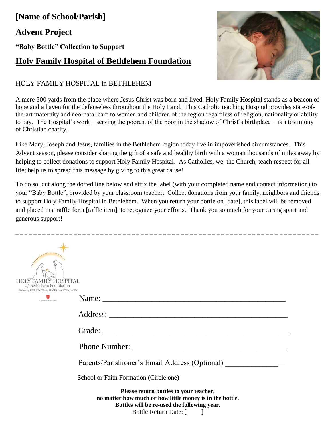## **[Name of School/Parish] Advent Project**

**"Baby Bottle" Collection to Support**

## **Holy Family Hospital of Bethlehem Foundation**

## HOLY FAMILY HOSPITAL in BETHLEHEM

A mere 500 yards from the place where Jesus Christ was born and lived, Holy Family Hospital stands as a beacon of hope and a haven for the defenseless throughout the Holy Land. This Catholic teaching Hospital provides state-ofthe-art maternity and neo-natal care to women and children of the region regardless of religion, nationality or ability to pay. The Hospital's work – serving the poorest of the poor in the shadow of Christ's birthplace – is a testimony of Christian charity.

Like Mary, Joseph and Jesus, families in the Bethlehem region today live in impoverished circumstances. This Advent season, please consider sharing the gift of a safe and healthy birth with a woman thousands of miles away by helping to collect donations to support Holy Family Hospital. As Catholics, we, the Church, teach respect for all life; help us to spread this message by giving to this great cause!

To do so, cut along the dotted line below and affix the label (with your completed name and contact information) to your "Baby Bottle", provided by your classroom teacher. Collect donations from your family, neighbors and friends to support Holy Family Hospital in Bethlehem. When you return your bottle on [date], this label will be removed and placed in a raffle for a [raffle item], to recognize your efforts. Thank you so much for your caring spirit and generous support!

\_ \_ \_ \_ \_ \_ \_ \_ \_ \_ \_ \_ \_ \_ \_ \_ \_ \_ \_ \_ \_ \_ \_ \_ \_ \_ \_ \_ \_ \_ \_ \_ \_ \_ \_ \_ \_ \_ \_ \_ \_ \_ \_ \_ \_ \_ \_ \_ \_ \_ \_ \_ \_ \_ \_ \_ \_ \_ \_ \_ \_ \_ \_ \_ \_ \_ \_ \_

| <b>HOLY FAMILY HOSPITAL</b><br>of Bethlehem Foundation<br>Delivering LIFE, PEACE and HOPE in the HOLY LAND |                                                                                                                                                                                                                                     |
|------------------------------------------------------------------------------------------------------------|-------------------------------------------------------------------------------------------------------------------------------------------------------------------------------------------------------------------------------------|
| A mok of the Order of Malta'                                                                               |                                                                                                                                                                                                                                     |
|                                                                                                            |                                                                                                                                                                                                                                     |
|                                                                                                            |                                                                                                                                                                                                                                     |
|                                                                                                            | <b>Phone Number:</b> The Second Second Second Second Second Second Second Second Second Second Second Second Second Second Second Second Second Second Second Second Second Second Second Second Second Second Second Second Second |
|                                                                                                            | Parents/Parishioner's Email Address (Optional)                                                                                                                                                                                      |
|                                                                                                            | School or Faith Formation (Circle one)                                                                                                                                                                                              |
|                                                                                                            | Please return bottles to your teacher,<br>no matter how much or how little money is in the bottle.<br>Bottles will be re-used the following year.<br>Bottle Return Date: [                                                          |